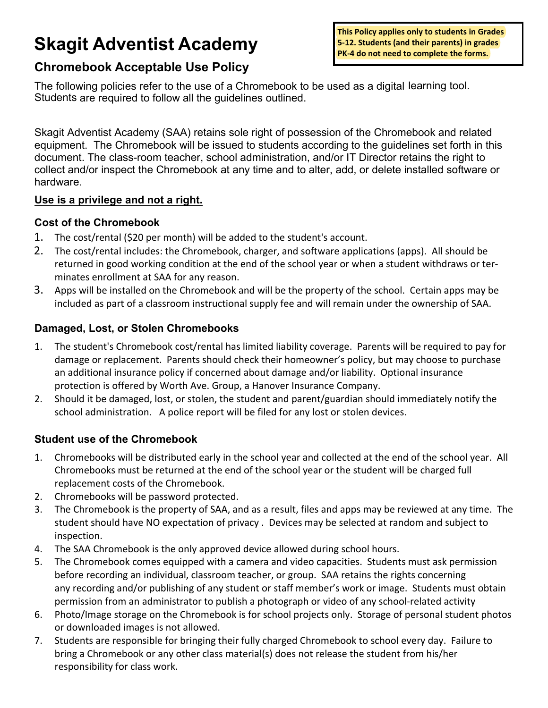# **Skagit Adventist Academy**

**This Policy applies only to students in Grades 5-12. Students (and their parents) in grades PK-4 do not need to complete the forms.**

# **Chromebook Acceptable Use Policy**

The following policies refer to the use of a Chromebook to be used as a digital learning tool. Students are required to follow all the guidelines outlined.

Skagit Adventist Academy (SAA) retains sole right of possession of the Chromebook and related equipment. The Chromebook will be issued to students according to the guidelines set forth in this document. The class-room teacher, school administration, and/or IT Director retains the right to collect and/or inspect the Chromebook at any time and to alter, add, or delete installed software or hardware.

#### **Use is a privilege and not a right.**

#### **Cost of the Chromebook**

- 1. The cost/rental (\$20 per month) will be added to the student's account.
- 2. The cost/rental includes: the Chromebook, charger, and software applications (apps). All should be returned in good working condition at the end of the school year or when a student withdraws or terminates enrollment at SAA for any reason.
- 3. Apps will be installed on the Chromebook and will be the property of the school. Certain apps may be included as part of a classroom instructional supply fee and will remain under the ownership of SAA.

# **Damaged, Lost, or Stolen Chromebooks**

- 1. The student's Chromebook cost/rental has limited liability coverage. Parents will be required to pay for damage or replacement. Parents should check their homeowner's policy, but may choose to purchase an additional insurance policy if concerned about damage and/or liability. Optional insurance protection is offered by Worth Ave. Group, a Hanover Insurance Company.
- 2. Should it be damaged, lost, or stolen, the student and parent/guardian should immediately notify the school administration. A police report will be filed for any lost or stolen devices.

# **Student use of the Chromebook**

- 1. Chromebooks will be distributed early in the school year and collected at the end of the school year. All Chromebooks must be returned at the end of the school year or the student will be charged full replacement costs of the Chromebook.
- 2. Chromebooks will be password protected.
- 3. The Chromebook is the property of SAA, and as a result, files and apps may be reviewed at any time. The student should have NO expectation of privacy . Devices may be selected at random and subject to inspection.
- 4. The SAA Chromebook is the only approved device allowed during school hours.
- 5. The Chromebook comes equipped with a camera and video capacities. Students must ask permission before recording an individual, classroom teacher, or group. SAA retains the rights concerning any recording and/or publishing of any student or staff member's work or image. Students must obtain permission from an administrator to publish a photograph or video of any school-related activity
- 6. Photo/Image storage on the Chromebook is for school projects only. Storage of personal student photos or downloaded images is not allowed.
- 7. Students are responsible for bringing their fully charged Chromebook to school every day. Failure to bring a Chromebook or any other class material(s) does not release the student from his/her responsibility for class work.